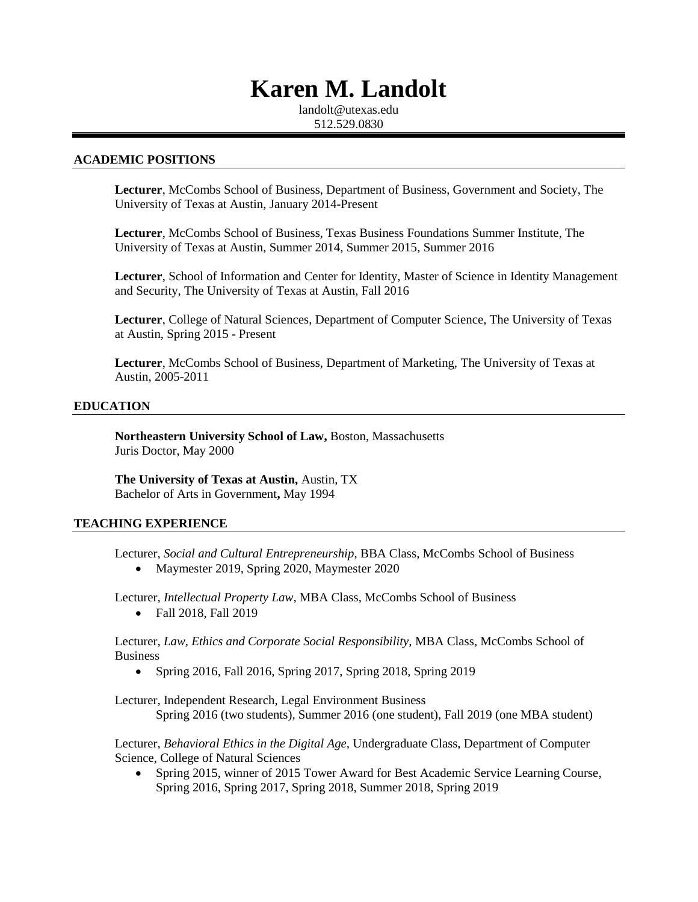# **Karen M. Landolt**

landolt@utexas.edu 512.529.0830

#### **ACADEMIC POSITIONS**

**Lecturer**, McCombs School of Business, Department of Business, Government and Society, The University of Texas at Austin, January 2014-Present

**Lecturer**, McCombs School of Business, Texas Business Foundations Summer Institute, The University of Texas at Austin, Summer 2014, Summer 2015, Summer 2016

**Lecturer**, School of Information and Center for Identity, Master of Science in Identity Management and Security, The University of Texas at Austin, Fall 2016

**Lecturer**, College of Natural Sciences, Department of Computer Science, The University of Texas at Austin, Spring 2015 - Present

**Lecturer**, McCombs School of Business, Department of Marketing, The University of Texas at Austin, 2005-2011

#### **EDUCATION**

**Northeastern University School of Law,** Boston, Massachusetts Juris Doctor, May 2000

**The University of Texas at Austin,** Austin, TX Bachelor of Arts in Government**,** May 1994

#### **TEACHING EXPERIENCE**

Lecturer, *Social and Cultural Entrepreneurship*, BBA Class, McCombs School of Business

• Maymester 2019, Spring 2020, Maymester 2020

Lecturer, *Intellectual Property Law*, MBA Class, McCombs School of Business

• Fall 2018, Fall 2019

Lecturer, *Law, Ethics and Corporate Social Responsibility,* MBA Class, McCombs School of Business

Spring 2016, Fall 2016, Spring 2017, Spring 2018, Spring 2019

Lecturer, Independent Research, Legal Environment Business Spring 2016 (two students), Summer 2016 (one student), Fall 2019 (one MBA student)

Lecturer, *Behavioral Ethics in the Digital Age,* Undergraduate Class, Department of Computer Science, College of Natural Sciences

 Spring 2015, winner of 2015 Tower Award for Best Academic Service Learning Course, Spring 2016, Spring 2017, Spring 2018, Summer 2018, Spring 2019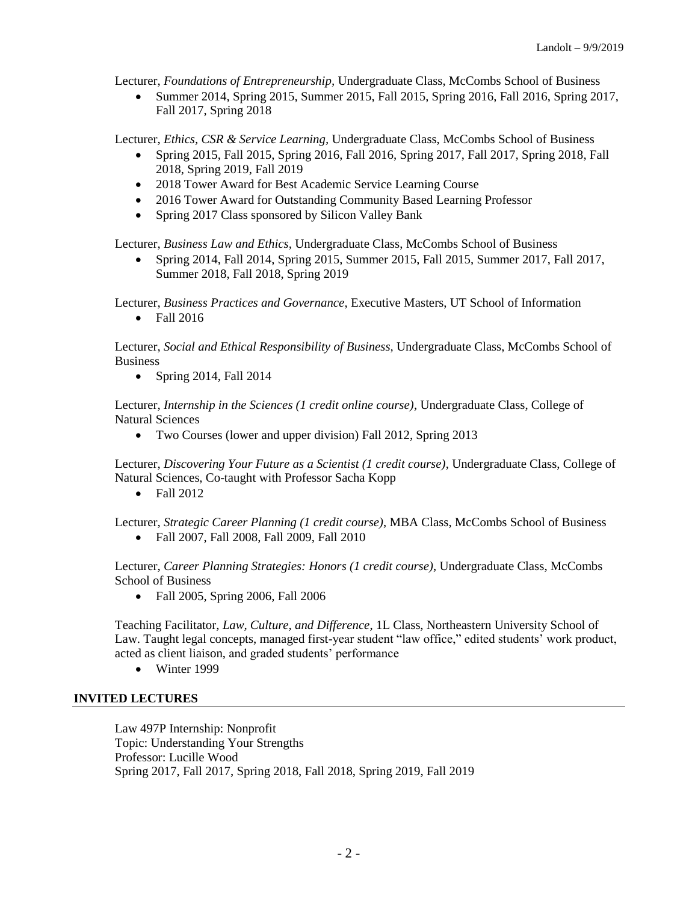Lecturer, *Foundations of Entrepreneurship,* Undergraduate Class, McCombs School of Business

 Summer 2014, Spring 2015, Summer 2015, Fall 2015, Spring 2016, Fall 2016, Spring 2017, Fall 2017, Spring 2018

Lecturer, *Ethics, CSR & Service Learning,* Undergraduate Class, McCombs School of Business

- Spring 2015, Fall 2015, Spring 2016, Fall 2016, Spring 2017, Fall 2017, Spring 2018, Fall 2018, Spring 2019, Fall 2019
- 2018 Tower Award for Best Academic Service Learning Course
- 2016 Tower Award for Outstanding Community Based Learning Professor
- Spring 2017 Class sponsored by Silicon Valley Bank

Lecturer, *Business Law and Ethics,* Undergraduate Class, McCombs School of Business

 Spring 2014, Fall 2014, Spring 2015, Summer 2015, Fall 2015, Summer 2017, Fall 2017, Summer 2018, Fall 2018, Spring 2019

Lecturer, *Business Practices and Governance*, Executive Masters, UT School of Information

• Fall 2016

Lecturer, *Social and Ethical Responsibility of Business,* Undergraduate Class, McCombs School of **Business** 

• Spring 2014, Fall 2014

Lecturer, *Internship in the Sciences (1 credit online course)*, Undergraduate Class, College of Natural Sciences

Two Courses (lower and upper division) Fall 2012, Spring 2013

Lecturer, *Discovering Your Future as a Scientist (1 credit course)*, Undergraduate Class, College of Natural Sciences, Co-taught with Professor Sacha Kopp

 $\bullet$  Fall 2012

Lecturer, *Strategic Career Planning (1 credit course)*, MBA Class, McCombs School of Business

Fall 2007, Fall 2008, Fall 2009, Fall 2010

Lecturer, *Career Planning Strategies: Honors (1 credit course)*, Undergraduate Class, McCombs School of Business

• Fall 2005, Spring 2006, Fall 2006

Teaching Facilitator, *Law, Culture, and Difference*, 1L Class, Northeastern University School of Law. Taught legal concepts, managed first-year student "law office," edited students' work product, acted as client liaison, and graded students' performance

• Winter 1999

# **INVITED LECTURES**

Law 497P Internship: Nonprofit Topic: Understanding Your Strengths Professor: Lucille Wood Spring 2017, Fall 2017, Spring 2018, Fall 2018, Spring 2019, Fall 2019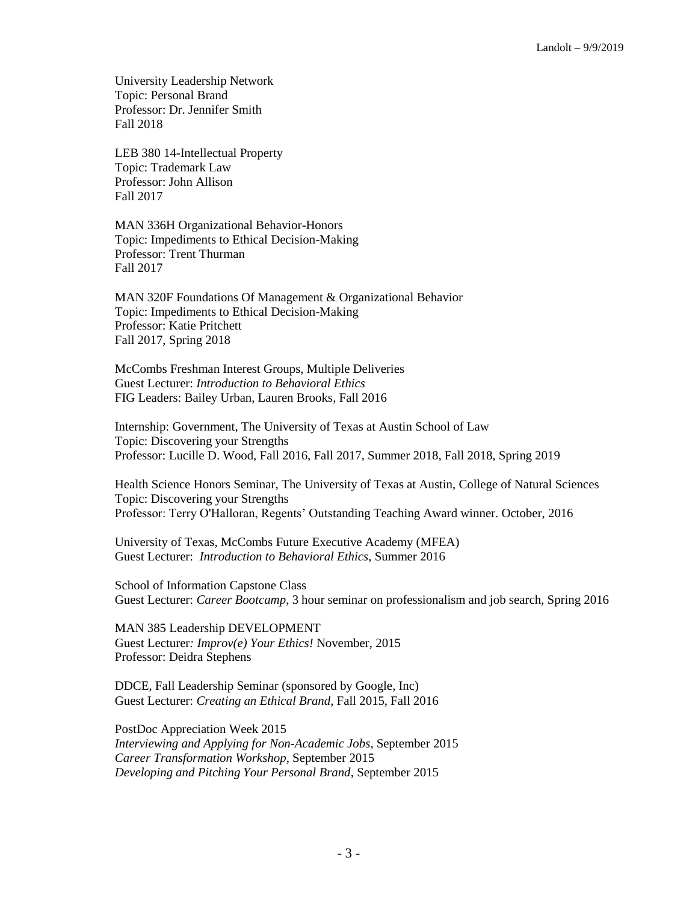University Leadership Network Topic: Personal Brand Professor: Dr. Jennifer Smith Fall 2018

LEB 380 14-Intellectual Property Topic: Trademark Law Professor: John Allison Fall 2017

MAN 336H Organizational Behavior-Honors Topic: Impediments to Ethical Decision-Making Professor: Trent Thurman Fall 2017

MAN 320F Foundations Of Management & Organizational Behavior Topic: Impediments to Ethical Decision-Making Professor: Katie Pritchett Fall 2017, Spring 2018

McCombs Freshman Interest Groups, Multiple Deliveries Guest Lecturer: *Introduction to Behavioral Ethics* FIG Leaders: Bailey Urban, Lauren Brooks, Fall 2016

Internship: Government, The University of Texas at Austin School of Law Topic: Discovering your Strengths Professor: Lucille D. Wood, Fall 2016, Fall 2017, Summer 2018, Fall 2018, Spring 2019

Health Science Honors Seminar, The University of Texas at Austin, College of Natural Sciences Topic: Discovering your Strengths Professor: Terry O'Halloran, Regents' Outstanding Teaching Award winner. October, 2016

University of Texas, McCombs Future Executive Academy (MFEA) Guest Lecturer: *Introduction to Behavioral Ethics*, Summer 2016

School of Information Capstone Class Guest Lecturer: *Career Bootcamp*, 3 hour seminar on professionalism and job search, Spring 2016

MAN 385 Leadership DEVELOPMENT Guest Lecturer*: Improv(e) Your Ethics!* November, 2015 Professor: Deidra Stephens

DDCE, Fall Leadership Seminar (sponsored by Google, Inc) Guest Lecturer: *Creating an Ethical Brand*, Fall 2015, Fall 2016

PostDoc Appreciation Week 2015 *Interviewing and Applying for Non-Academic Jobs*, September 2015 *Career Transformation Workshop*, September 2015 *Developing and Pitching Your Personal Brand*, September 2015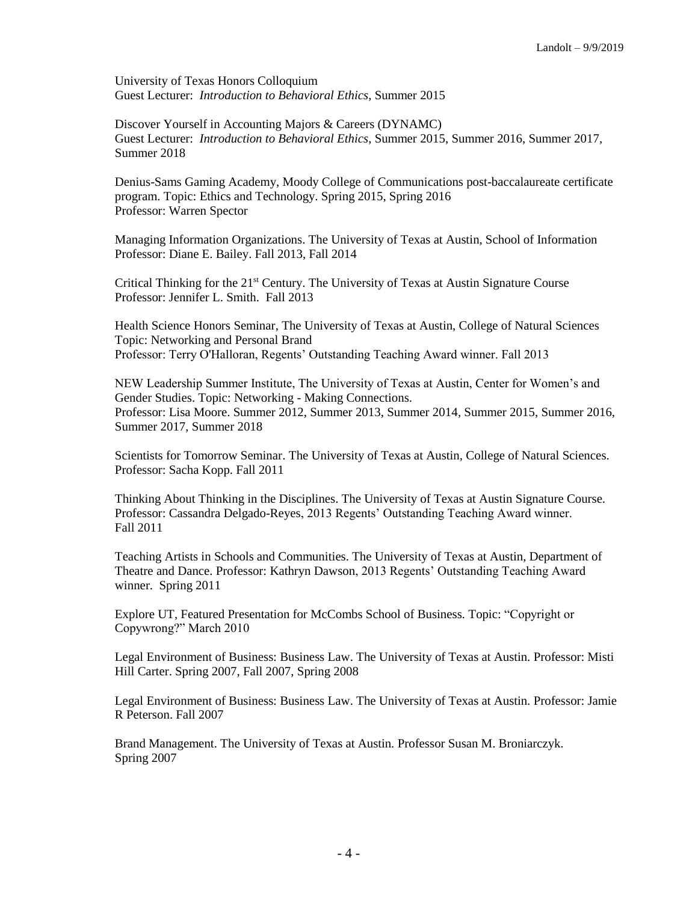University of Texas Honors Colloquium Guest Lecturer: *Introduction to Behavioral Ethics*, Summer 2015

Discover Yourself in Accounting Majors & Careers (DYNAMC) Guest Lecturer: *Introduction to Behavioral Ethics*, Summer 2015, Summer 2016, Summer 2017, Summer 2018

Denius-Sams Gaming Academy, Moody College of Communications post-baccalaureate certificate program. Topic: Ethics and Technology. Spring 2015, Spring 2016 Professor: Warren Spector

Managing Information Organizations. The University of Texas at Austin, School of Information Professor: Diane E. Bailey. Fall 2013, Fall 2014

Critical Thinking for the 21<sup>st</sup> Century. The University of Texas at Austin Signature Course Professor: Jennifer L. Smith. Fall 2013

Health Science Honors Seminar, The University of Texas at Austin, College of Natural Sciences Topic: Networking and Personal Brand Professor: Terry O'Halloran, Regents' Outstanding Teaching Award winner. Fall 2013

NEW Leadership Summer Institute, The University of Texas at Austin, Center for Women's and Gender Studies. Topic: Networking - Making Connections. Professor: Lisa Moore. Summer 2012, Summer 2013, Summer 2014, Summer 2015, Summer 2016, Summer 2017, Summer 2018

Scientists for Tomorrow Seminar. The University of Texas at Austin, College of Natural Sciences. Professor: Sacha Kopp. Fall 2011

Thinking About Thinking in the Disciplines. The University of Texas at Austin Signature Course. Professor: Cassandra Delgado-Reyes, 2013 Regents' Outstanding Teaching Award winner. Fall 2011

Teaching Artists in Schools and Communities. The University of Texas at Austin, Department of Theatre and Dance. Professor: Kathryn Dawson, 2013 Regents' Outstanding Teaching Award winner. Spring 2011

Explore UT, Featured Presentation for McCombs School of Business. Topic: "Copyright or Copywrong?" March 2010

Legal Environment of Business: Business Law. The University of Texas at Austin. Professor: Misti Hill Carter. Spring 2007, Fall 2007, Spring 2008

Legal Environment of Business: Business Law. The University of Texas at Austin. Professor: Jamie R Peterson. Fall 2007

Brand Management. The University of Texas at Austin. Professor Susan M. Broniarczyk. Spring 2007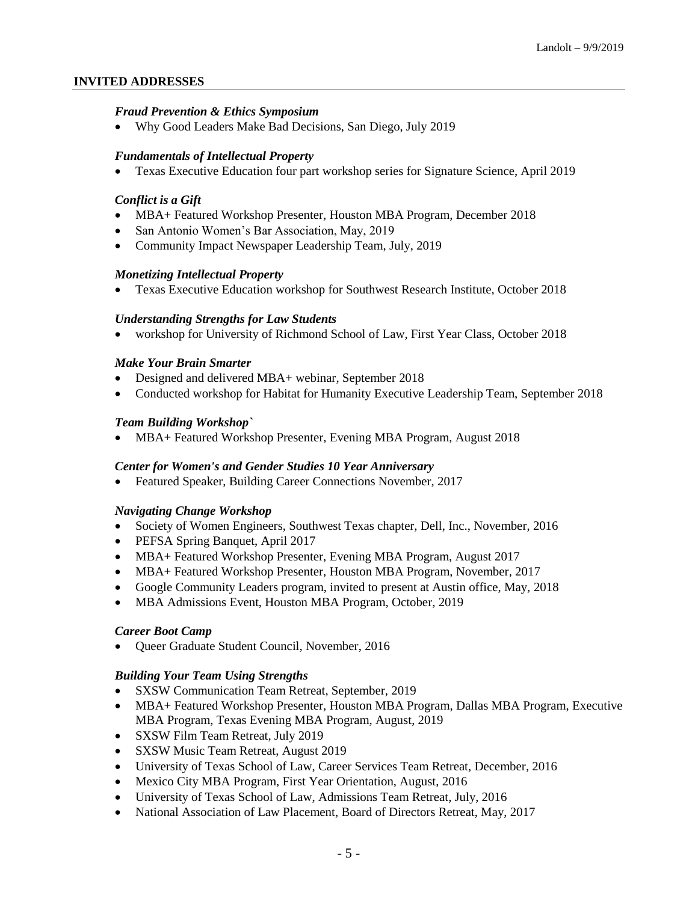# **INVITED ADDRESSES**

# *Fraud Prevention & Ethics Symposium*

Why Good Leaders Make Bad Decisions, San Diego, July 2019

# *Fundamentals of Intellectual Property*

Texas Executive Education four part workshop series for Signature Science, April 2019

# *Conflict is a Gift*

- MBA+ Featured Workshop Presenter, Houston MBA Program, December 2018
- San Antonio Women's Bar Association, May, 2019
- Community Impact Newspaper Leadership Team, July, 2019

### *Monetizing Intellectual Property*

Texas Executive Education workshop for Southwest Research Institute, October 2018

### *Understanding Strengths for Law Students*

workshop for University of Richmond School of Law, First Year Class, October 2018

### *Make Your Brain Smarter*

- Designed and delivered MBA+ webinar, September 2018
- Conducted workshop for Habitat for Humanity Executive Leadership Team, September 2018

### *Team Building Workshop`*

MBA+ Featured Workshop Presenter, Evening MBA Program, August 2018

#### *Center for Women's and Gender Studies 10 Year Anniversary*

Featured Speaker, Building Career Connections November, 2017

#### *Navigating Change Workshop*

- Society of Women Engineers, Southwest Texas chapter, Dell, Inc., November, 2016
- PEFSA Spring Banquet, April 2017
- MBA+ Featured Workshop Presenter, Evening MBA Program, August 2017
- MBA+ Featured Workshop Presenter, Houston MBA Program, November, 2017
- Google Community Leaders program, invited to present at Austin office, May, 2018
- MBA Admissions Event, Houston MBA Program, October, 2019

#### *Career Boot Camp*

Queer Graduate Student Council, November, 2016

#### *Building Your Team Using Strengths*

- SXSW Communication Team Retreat, September, 2019
- MBA+ Featured Workshop Presenter, Houston MBA Program, Dallas MBA Program, Executive MBA Program, Texas Evening MBA Program, August, 2019
- SXSW Film Team Retreat, July 2019
- SXSW Music Team Retreat, August 2019
- University of Texas School of Law, Career Services Team Retreat, December, 2016
- Mexico City MBA Program, First Year Orientation, August, 2016
- University of Texas School of Law, Admissions Team Retreat, July, 2016
- National Association of Law Placement, Board of Directors Retreat, May, 2017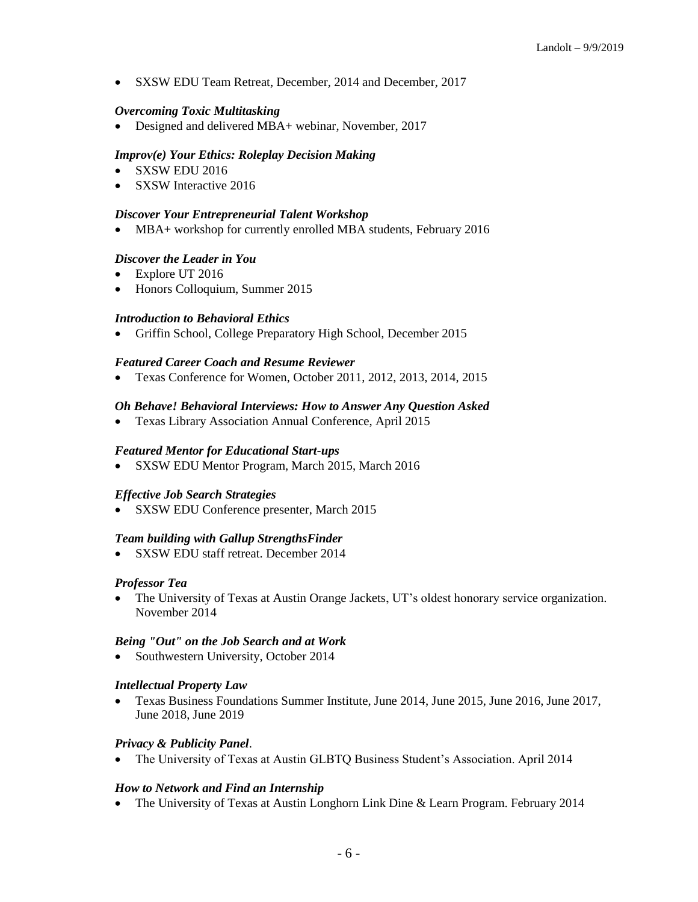SXSW EDU Team Retreat, December, 2014 and December, 2017

#### *Overcoming Toxic Multitasking*

• Designed and delivered MBA+ webinar, November, 2017

# *Improv(e) Your Ethics: Roleplay Decision Making*

- SXSW EDU 2016
- SXSW Interactive 2016

### *Discover Your Entrepreneurial Talent Workshop*

• MBA+ workshop for currently enrolled MBA students, February 2016

### *Discover the Leader in You*

- Explore UT 2016
- Honors Colloquium, Summer 2015

### *Introduction to Behavioral Ethics*

Griffin School, College Preparatory High School, December 2015

### *Featured Career Coach and Resume Reviewer*

Texas Conference for Women, October 2011, 2012, 2013, 2014, 2015

### *Oh Behave! Behavioral Interviews: How to Answer Any Question Asked*

Texas Library Association Annual Conference, April 2015

#### *Featured Mentor for Educational Start-ups*

SXSW EDU Mentor Program, March 2015, March 2016

#### *Effective Job Search Strategies*

SXSW EDU Conference presenter, March 2015

#### *Team building with Gallup StrengthsFinder*

SXSW EDU staff retreat. December 2014

# *Professor Tea*

 The University of Texas at Austin Orange Jackets, UT's oldest honorary service organization. November 2014

# *Being "Out" on the Job Search and at Work*

• Southwestern University, October 2014

#### *Intellectual Property Law*

 Texas Business Foundations Summer Institute, June 2014, June 2015, June 2016, June 2017, June 2018, June 2019

# *Privacy & Publicity Panel*.

The University of Texas at Austin GLBTQ Business Student's Association. April 2014

#### *How to Network and Find an Internship*

The University of Texas at Austin Longhorn Link Dine & Learn Program. February 2014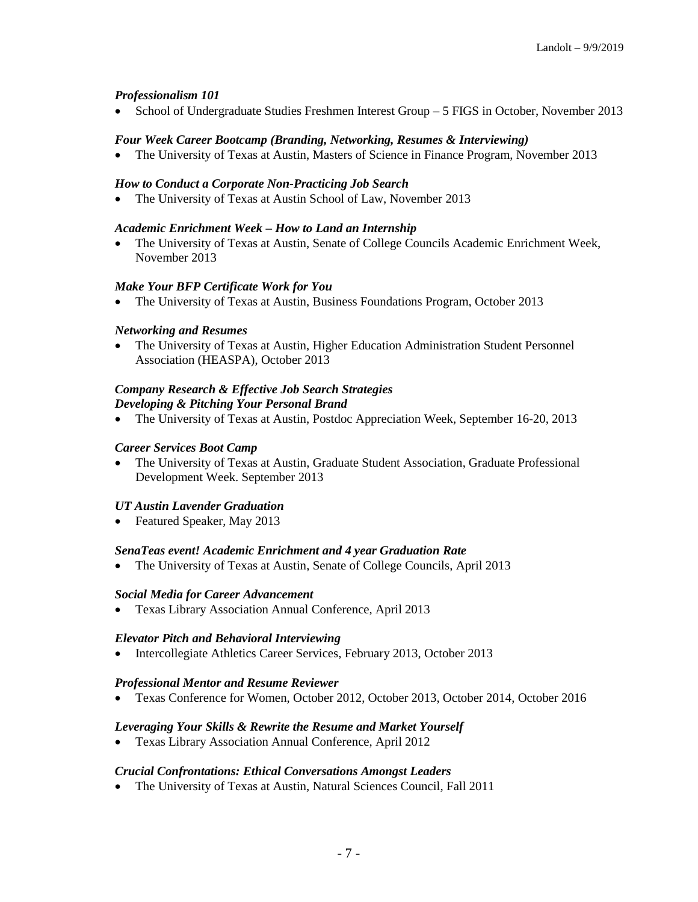# *Professionalism 101*

School of Undergraduate Studies Freshmen Interest Group – 5 FIGS in October, November 2013

#### *Four Week Career Bootcamp (Branding, Networking, Resumes & Interviewing)*

The University of Texas at Austin, Masters of Science in Finance Program, November 2013

### *How to Conduct a Corporate Non-Practicing Job Search*

The University of Texas at Austin School of Law, November 2013

### *Academic Enrichment Week – How to Land an Internship*

 The University of Texas at Austin, Senate of College Councils Academic Enrichment Week, November 2013

### *Make Your BFP Certificate Work for You*

• The University of Texas at Austin, Business Foundations Program, October 2013

### *Networking and Resumes*

 The University of Texas at Austin, Higher Education Administration Student Personnel Association (HEASPA), October 2013

# *Company Research & Effective Job Search Strategies Developing & Pitching Your Personal Brand*

The University of Texas at Austin, Postdoc Appreciation Week, September 16-20, 2013

### *Career Services Boot Camp*

 The University of Texas at Austin, Graduate Student Association, Graduate Professional Development Week. September 2013

#### *UT Austin Lavender Graduation*

• Featured Speaker, May 2013

#### *SenaTeas event! Academic Enrichment and 4 year Graduation Rate*

• The University of Texas at Austin, Senate of College Councils, April 2013

#### *Social Media for Career Advancement*

Texas Library Association Annual Conference, April 2013

#### *Elevator Pitch and Behavioral Interviewing*

Intercollegiate Athletics Career Services, February 2013, October 2013

#### *Professional Mentor and Resume Reviewer*

Texas Conference for Women, October 2012, October 2013, October 2014, October 2016

# *Leveraging Your Skills & Rewrite the Resume and Market Yourself*

Texas Library Association Annual Conference, April 2012

# *Crucial Confrontations: Ethical Conversations Amongst Leaders*

The University of Texas at Austin, Natural Sciences Council, Fall 2011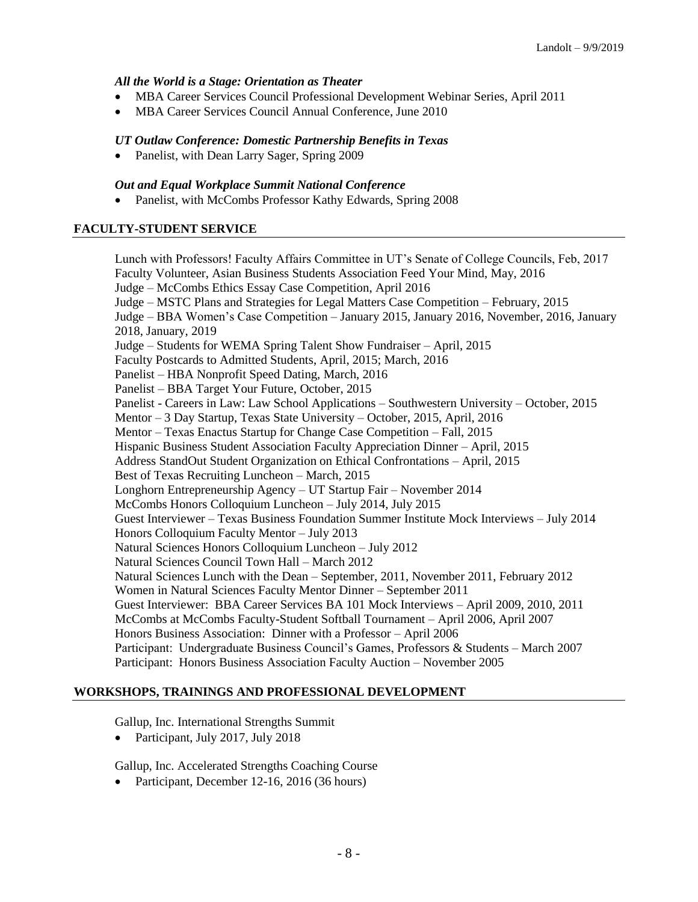# *All the World is a Stage: Orientation as Theater*

- MBA Career Services Council Professional Development Webinar Series, April 2011
- MBA Career Services Council Annual Conference, June 2010

# *UT Outlaw Conference: Domestic Partnership Benefits in Texas*

• Panelist, with Dean Larry Sager, Spring 2009

# *Out and Equal Workplace Summit National Conference*

• Panelist, with McCombs Professor Kathy Edwards, Spring 2008

# **FACULTY-STUDENT SERVICE**

Lunch with Professors! Faculty Affairs Committee in UT's Senate of College Councils, Feb, 2017 Faculty Volunteer, Asian Business Students Association Feed Your Mind, May, 2016 Judge – McCombs Ethics Essay Case Competition, April 2016 Judge – MSTC Plans and Strategies for Legal Matters Case Competition – February, 2015 Judge – BBA Women's Case Competition – January 2015, January 2016, November, 2016, January 2018, January, 2019 Judge – Students for WEMA Spring Talent Show Fundraiser – April, 2015 Faculty Postcards to Admitted Students, April, 2015; March, 2016 Panelist – HBA Nonprofit Speed Dating, March, 2016 Panelist – BBA Target Your Future, October, 2015 Panelist - Careers in Law: Law School Applications – Southwestern University – October, 2015 Mentor – 3 Day Startup, Texas State University – October, 2015, April, 2016 Mentor – Texas Enactus Startup for Change Case Competition – Fall, 2015 Hispanic Business Student Association Faculty Appreciation Dinner – April, 2015 Address StandOut Student Organization on Ethical Confrontations – April, 2015 Best of Texas Recruiting Luncheon – March, 2015 Longhorn Entrepreneurship Agency – UT Startup Fair – November 2014 McCombs Honors Colloquium Luncheon – July 2014, July 2015 Guest Interviewer – Texas Business Foundation Summer Institute Mock Interviews – July 2014 Honors Colloquium Faculty Mentor – July 2013 Natural Sciences Honors Colloquium Luncheon – July 2012 Natural Sciences Council Town Hall – March 2012 Natural Sciences Lunch with the Dean – September, 2011, November 2011, February 2012 Women in Natural Sciences Faculty Mentor Dinner – September 2011 Guest Interviewer: BBA Career Services BA 101 Mock Interviews – April 2009, 2010, 2011 McCombs at McCombs Faculty-Student Softball Tournament – April 2006, April 2007 Honors Business Association: Dinner with a Professor – April 2006 Participant: Undergraduate Business Council's Games, Professors & Students – March 2007 Participant: Honors Business Association Faculty Auction – November 2005

# **WORKSHOPS, TRAININGS AND PROFESSIONAL DEVELOPMENT**

Gallup, Inc. International Strengths Summit

• Participant, July 2017, July 2018

Gallup, Inc. Accelerated Strengths Coaching Course

• Participant, December 12-16, 2016 (36 hours)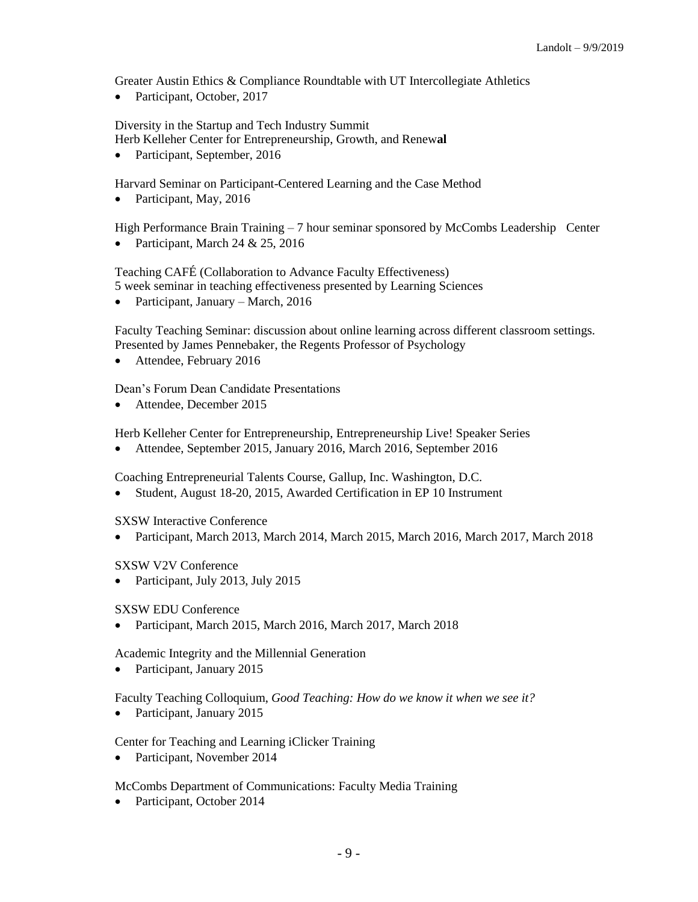Greater Austin Ethics & Compliance Roundtable with UT Intercollegiate Athletics

• Participant, October, 2017

Diversity in the Startup and Tech Industry Summit

Herb Kelleher Center for Entrepreneurship, Growth, and Renew**al**

• Participant, September, 2016

Harvard Seminar on Participant-Centered Learning and the Case Method

• Participant, May, 2016

High Performance Brain Training – 7 hour seminar sponsored by McCombs Leadership Center

Participant, March 24 & 25, 2016

Teaching CAFÉ (Collaboration to Advance Faculty Effectiveness)

5 week seminar in teaching effectiveness presented by Learning Sciences

• Participant, January – March, 2016

Faculty Teaching Seminar: discussion about online learning across different classroom settings. Presented by James Pennebaker, the Regents Professor of Psychology

Attendee, February 2016

Dean's Forum Dean Candidate Presentations

• Attendee, December 2015

Herb Kelleher Center for Entrepreneurship, Entrepreneurship Live! Speaker Series

Attendee, September 2015, January 2016, March 2016, September 2016

Coaching Entrepreneurial Talents Course, Gallup, Inc. Washington, D.C.

Student, August 18-20, 2015, Awarded Certification in EP 10 Instrument

SXSW Interactive Conference

Participant, March 2013, March 2014, March 2015, March 2016, March 2017, March 2018

SXSW V2V Conference

• Participant, July 2013, July 2015

SXSW EDU Conference

Participant, March 2015, March 2016, March 2017, March 2018

Academic Integrity and the Millennial Generation

• Participant, January 2015

Faculty Teaching Colloquium, *Good Teaching: How do we know it when we see it?*

• Participant, January 2015

Center for Teaching and Learning iClicker Training

• Participant, November 2014

McCombs Department of Communications: Faculty Media Training

• Participant, October 2014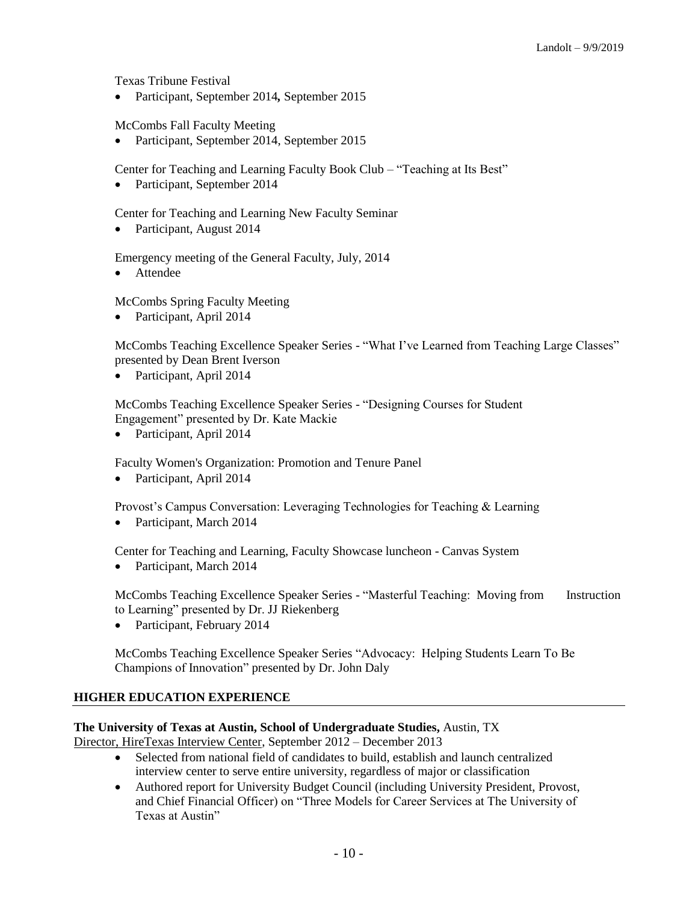Texas Tribune Festival

Participant, September 2014*,* September 2015

McCombs Fall Faculty Meeting

• Participant, September 2014, September 2015

Center for Teaching and Learning Faculty Book Club – "Teaching at Its Best"

• Participant, September 2014

Center for Teaching and Learning New Faculty Seminar

• Participant, August 2014

Emergency meeting of the General Faculty, July, 2014

**•** Attendee

McCombs Spring Faculty Meeting

• Participant, April 2014

McCombs Teaching Excellence Speaker Series - "What I've Learned from Teaching Large Classes" presented by Dean Brent Iverson

• Participant, April 2014

McCombs Teaching Excellence Speaker Series - "Designing Courses for Student Engagement" presented by Dr. Kate Mackie

• Participant, April 2014

Faculty Women's Organization: Promotion and Tenure Panel

• Participant, April 2014

Provost's Campus Conversation: Leveraging Technologies for Teaching & Learning

• Participant, March 2014

Center for Teaching and Learning, Faculty Showcase luncheon - Canvas System

• Participant, March 2014

McCombs Teaching Excellence Speaker Series - "Masterful Teaching: Moving from Instruction to Learning" presented by Dr. JJ Riekenberg

Participant, February 2014

McCombs Teaching Excellence Speaker Series "Advocacy: Helping Students Learn To Be Champions of Innovation" presented by Dr. John Daly

# **HIGHER EDUCATION EXPERIENCE**

# **The University of Texas at Austin, School of Undergraduate Studies,** Austin, TX

Director, HireTexas Interview Center, September 2012 – December 2013

- Selected from national field of candidates to build, establish and launch centralized interview center to serve entire university, regardless of major or classification
- Authored report for University Budget Council (including University President, Provost, and Chief Financial Officer) on "Three Models for Career Services at The University of Texas at Austin"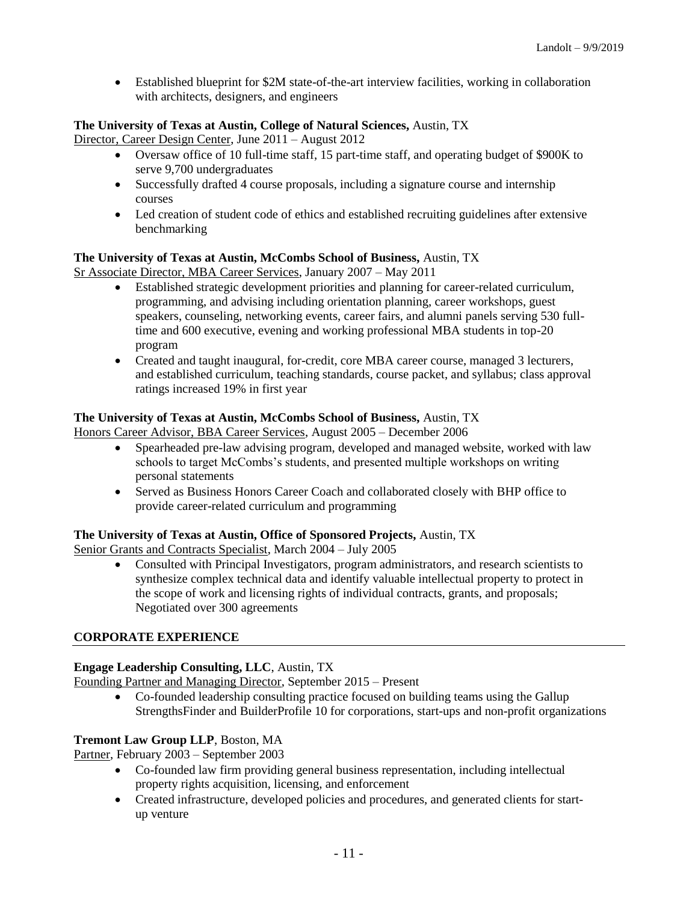Established blueprint for \$2M state-of-the-art interview facilities, working in collaboration with architects, designers, and engineers

# **The University of Texas at Austin, College of Natural Sciences,** Austin, TX

Director, Career Design Center, June 2011 – August 2012

- Oversaw office of 10 full-time staff, 15 part-time staff, and operating budget of \$900K to serve 9,700 undergraduates
- Successfully drafted 4 course proposals, including a signature course and internship courses
- Led creation of student code of ethics and established recruiting guidelines after extensive benchmarking

# **The University of Texas at Austin, McCombs School of Business,** Austin, TX

Sr Associate Director, MBA Career Services, January 2007 – May 2011

- Established strategic development priorities and planning for career-related curriculum, programming, and advising including orientation planning, career workshops, guest speakers, counseling, networking events, career fairs, and alumni panels serving 530 fulltime and 600 executive, evening and working professional MBA students in top-20 program
- Created and taught inaugural, for-credit, core MBA career course, managed 3 lecturers, and established curriculum, teaching standards, course packet, and syllabus; class approval ratings increased 19% in first year

# **The University of Texas at Austin, McCombs School of Business,** Austin, TX

Honors Career Advisor, BBA Career Services, August 2005 – December 2006

- Spearheaded pre-law advising program, developed and managed website, worked with law schools to target McCombs's students, and presented multiple workshops on writing personal statements
- Served as Business Honors Career Coach and collaborated closely with BHP office to provide career-related curriculum and programming

# **The University of Texas at Austin, Office of Sponsored Projects,** Austin, TX

Senior Grants and Contracts Specialist, March 2004 – July 2005

 Consulted with Principal Investigators, program administrators, and research scientists to synthesize complex technical data and identify valuable intellectual property to protect in the scope of work and licensing rights of individual contracts, grants, and proposals; Negotiated over 300 agreements

# **CORPORATE EXPERIENCE**

# **Engage Leadership Consulting, LLC**, Austin, TX

Founding Partner and Managing Director, September 2015 – Present

 Co-founded leadership consulting practice focused on building teams using the Gallup StrengthsFinder and BuilderProfile 10 for corporations, start-ups and non-profit organizations

# **Tremont Law Group LLP**, Boston, MA

Partner, February 2003 – September 2003

- Co-founded law firm providing general business representation, including intellectual property rights acquisition, licensing, and enforcement
- Created infrastructure, developed policies and procedures, and generated clients for startup venture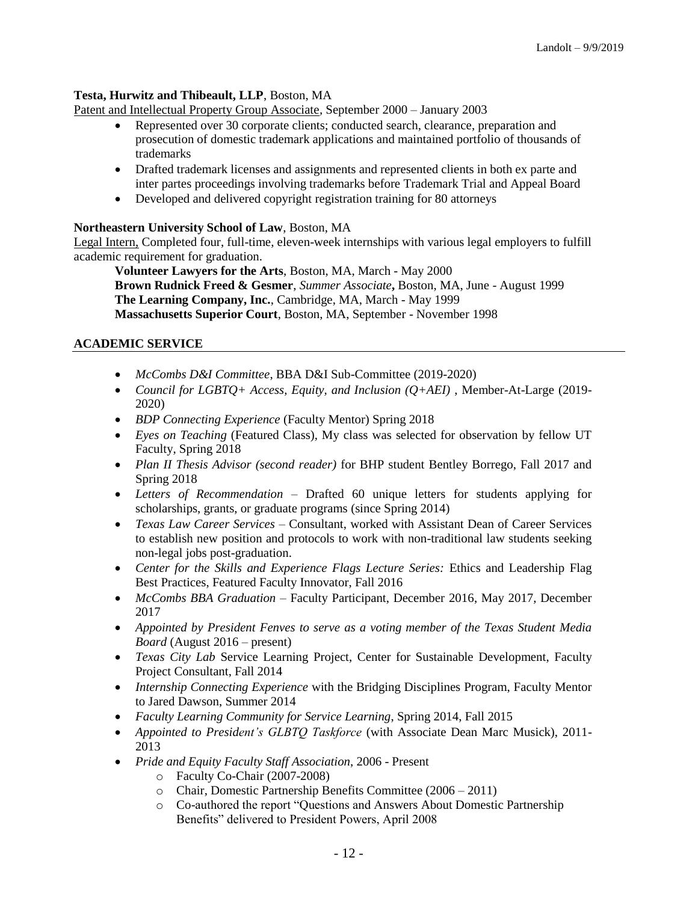# **Testa, Hurwitz and Thibeault, LLP**, Boston, MA

Patent and Intellectual Property Group Associate*,* September 2000 – January 2003

- Represented over 30 corporate clients; conducted search, clearance, preparation and prosecution of domestic trademark applications and maintained portfolio of thousands of trademarks
- Drafted trademark licenses and assignments and represented clients in both ex parte and inter partes proceedings involving trademarks before Trademark Trial and Appeal Board
- Developed and delivered copyright registration training for 80 attorneys

## **Northeastern University School of Law**, Boston, MA

Legal Intern, Completed four, full-time, eleven-week internships with various legal employers to fulfill academic requirement for graduation.

**Volunteer Lawyers for the Arts**, Boston, MA, March - May 2000 **Brown Rudnick Freed & Gesmer**, *Summer Associate***,** Boston, MA, June - August 1999 **The Learning Company, Inc.**, Cambridge, MA, March - May 1999 **Massachusetts Superior Court**, Boston, MA, September - November 1998

# **ACADEMIC SERVICE**

- *McCombs D&I Committee*, BBA D&I Sub-Committee (2019-2020)
- *Council for LGBTQ+ Access, Equity, and Inclusion (Q+AEI)* , Member-At-Large (2019- 2020)
- *BDP Connecting Experience* (Faculty Mentor) Spring 2018
- *Eyes on Teaching* (Featured Class), My class was selected for observation by fellow UT Faculty, Spring 2018
- *Plan II Thesis Advisor (second reader)* for BHP student Bentley Borrego, Fall 2017 and Spring 2018
- *Letters of Recommendation –* Drafted 60 unique letters for students applying for scholarships, grants, or graduate programs (since Spring 2014)
- *Texas Law Career Services –* Consultant, worked with Assistant Dean of Career Services to establish new position and protocols to work with non-traditional law students seeking non-legal jobs post-graduation.
- Center for the Skills and Experience Flags Lecture Series: Ethics and Leadership Flag Best Practices, Featured Faculty Innovator, Fall 2016
- *McCombs BBA Graduation* Faculty Participant, December 2016, May 2017, December 2017
- *Appointed by President Fenves to serve as a voting member of the Texas Student Media Board* (August 2016 – present)
- *Texas City Lab* Service Learning Project, Center for Sustainable Development, Faculty Project Consultant, Fall 2014
- *Internship Connecting Experience* with the Bridging Disciplines Program, Faculty Mentor to Jared Dawson, Summer 2014
- *Faculty Learning Community for Service Learning*, Spring 2014, Fall 2015
- *Appointed to President's GLBTQ Taskforce* (with Associate Dean Marc Musick), 2011- 2013
- *Pride and Equity Faculty Staff Association*, 2006 Present
	- o Faculty Co-Chair (2007-2008)
	- o Chair, Domestic Partnership Benefits Committee (2006 2011)
	- o Co-authored the report "Questions and Answers About Domestic Partnership Benefits" delivered to President Powers, April 2008